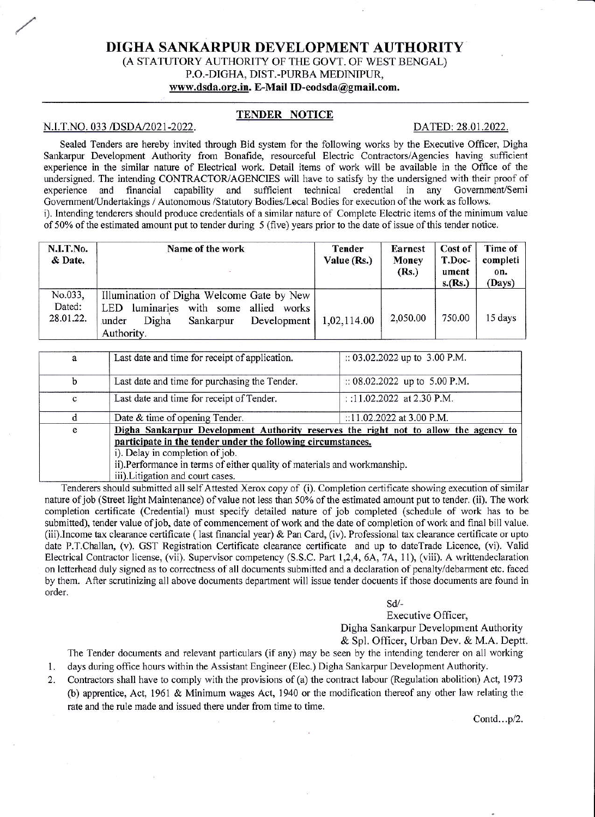## DIGHA SANKARPUR DEVELOPMENT AUTHORITY (A STATUTORY AUTHORITY OF THE GOVT. OF WEST BENGAL) P.O.-DIGHA, DIST.-PURBA MEDINIPUR, www.dsda.org.in. E-Mail ID-eodsda@gmail.com.

## **TENDER NOTICE**

N.I.T.NO. 033 /DSDA/2021-2022.

## DATED: 28.01.2022.

Sealed Tenders are hereby invited through Bid system for the following works by the Executive Officer, Digha Sankarpur Development Authority from Bonafide, resourceful Electric Contractors/Agencies having sufficient experience in the similar nature of Electrical work. Detail items of work will be available in the Office of the undersigned. The intending CONTRACTOR/AGENCIES will have to satisfy by the undersigned with their proof of experience and financial capability and sufficient technical credential in any Government/Semi Government/Undertakings / Autonomous /Statutory Bodies/Local Bodies for execution of the work as follows. i). Intending tenderers should produce credentials of a similar nature of Complete Electric items of the minimum value of 50% of the estimated amount put to tender during 5 (five) years prior to the date of issue of this tender notice.

| N.I.T.No.<br>& Date.           | Name of the work                                                                                                                                        | Tender<br>Value (Rs.) | <b>Earnest</b><br>Money<br>(Rs.) | Cost of<br>T.Doc-<br>ument<br>s.(Rs.) | Time of<br>completi<br>on.<br>(Days) |
|--------------------------------|---------------------------------------------------------------------------------------------------------------------------------------------------------|-----------------------|----------------------------------|---------------------------------------|--------------------------------------|
| No.033,<br>Dated:<br>28.01.22. | Illumination of Digha Welcome Gate by New<br>luminaries<br>with some<br>allied works<br>LED<br>Digha<br>under<br>Development<br>Sankarpur<br>Authority. | 1,02,114.00           | 2,050.00                         | 750.00                                | 15 days                              |

| a           | Last date and time for receipt of application.                                                                                                                                                                                                                                                          | :: 03.02.2022 up to 3.00 P.M.   |  |  |
|-------------|---------------------------------------------------------------------------------------------------------------------------------------------------------------------------------------------------------------------------------------------------------------------------------------------------------|---------------------------------|--|--|
| b           | Last date and time for purchasing the Tender.                                                                                                                                                                                                                                                           | :: $08.02.2022$ up to 5.00 P.M. |  |  |
| c           | Last date and time for receipt of Tender.                                                                                                                                                                                                                                                               | ::11.02.2022 at 2.30 P.M.       |  |  |
|             | Date & time of opening Tender.                                                                                                                                                                                                                                                                          | ::11.02.2022 at 3.00 P.M.       |  |  |
| $\mathbf e$ | Digha Sankarpur Development Authority reserves the right not to allow the agency to<br>participate in the tender under the following circumstances.<br>i). Delay in completion of job.<br>ii).Performance in terms of either quality of materials and workmanship.<br>iii). Litigation and court cases. |                                 |  |  |

Tenderers should submitted all self Attested Xerox copy of (i). Completion certificate showing execution of similar nature of job (Street light Maintenance) of value not less than 50% of the estimated amount put to tender. (ii). The work completion certificate (Credential) must specify detailed nature of job completed (schedule of work has to be submitted), tender value of job, date of commencement of work and the date of completion of work and final bill value. (iii).Income tax clearance certificate (last financial year) & Pan Card, (iv). Professional tax clearance certificate or upto date P.T.Challan, (v). GST Registration Certificate clearance certificate and up to dateTrade Licence, (vi). Valid Electrical Contractor license, (vii). Supervisor competency (S.S.C. Part 1,2,4, 6A, 7A, 11), (viii). A writtendeclaration on letterhead duly signed as to correctness of all documents submitted and a declaration of penalty/debarment etc. faced by them. After scrutinizing all above documents department will issue tender docuents if those documents are found in order.

 $Sd/-$ 

Executive Officer,

Digha Sankarpur Development Authority

& Spl. Officer, Urban Dev. & M.A. Deptt.

The Tender documents and relevant particulars (if any) may be seen by the intending tenderer on all working days during office hours within the Assistant Engineer (Elec.) Digha Sankarpur Development Authority. 1.

Contractors shall have to comply with the provisions of (a) the contract labour (Regulation abolition) Act, 1973  $2.$ (b) apprentice, Act, 1961 & Minimum wages Act, 1940 or the modification thereof any other law relating the rate and the rule made and issued there under from time to time.

Contd...p/2.